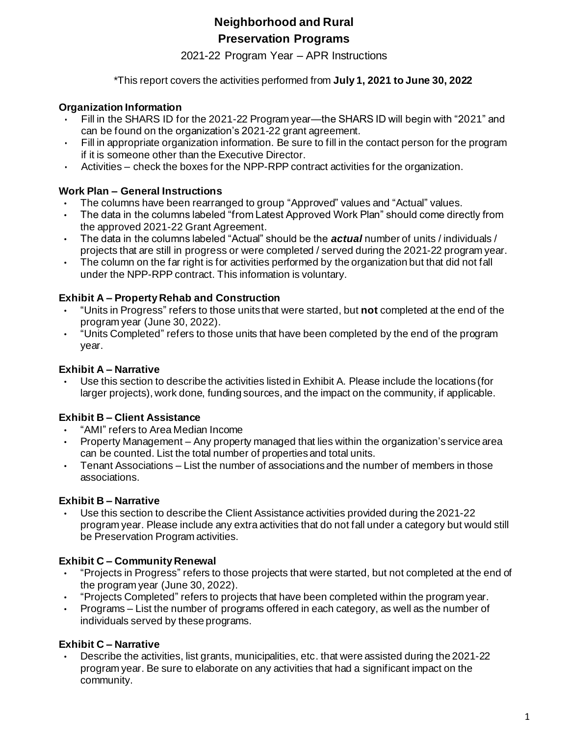# **Neighborhood and Rural Preservation Programs**

2021-22 Program Year – APR Instructions

\*This report covers the activities performed from **July 1, 2021 to June 30, 2022**

## **Organization Information**

- Fill in the SHARS ID for the 2021-22 Program year—the SHARS ID will begin with "2021" and can be found on the organization's 2021-22 grant agreement.
- $\cdot$  Fill in appropriate organization information. Be sure to fill in the contact person for the program if it is someone other than the Executive Director.
- Activities check the boxes for the NPP-RPP contract activities for the organization.

## **Work Plan – General Instructions**

- The columns have been rearranged to group "Approved" values and "Actual" values.
- The data in the columns labeled "from Latest Approved Work Plan" should come directly from the approved 2021-22 Grant Agreement.
- The data in the columns labeled "Actual" should be the *actual* number of units / individuals / projects that are still in progress or were completed / served during the 2021-22 program year.
- The column on the far right is for activities performed by the organization but that did not fall under the NPP-RPP contract. This information is voluntary.

## **Exhibit A – Property Rehab and Construction**

- "Units in Progress" refers to those units that were started, but **not** completed at the end of the program year (June 30, 2022).
- "Units Completed" refers to those units that have been completed by the end of the program year.

## **Exhibit A – Narrative**

• Use this section to describe the activities listed in Exhibit A. Please include the locations (for larger projects), work done, funding sources, and the impact on the community, if applicable.

# **Exhibit B – Client Assistance**

- "AMI" refers to Area Median Income
- Property Management Any property managed that lies within the organization's service area can be counted. List the total number of properties and total units.
- Tenant Associations List the number of associations and the number of members in those associations.

### **Exhibit B – Narrative**

• Use this section to describe the Client Assistance activities provided during the 2021-22 program year. Please include any extra activities that do not fall under a category but would still be Preservation Program activities.

# **Exhibit C – Community Renewal**

- "Projects in Progress" refers to those projects that were started, but not completed at the end of the program year (June 30, 2022).
- "Projects Completed" refers to projects that have been completed within the program year.
- Programs List the number of programs offered in each category, as well as the number of individuals served by these programs.

# **Exhibit C – Narrative**

• Describe the activities, list grants, municipalities, etc. that were assisted during the 2021-22 program year. Be sure to elaborate on any activities that had a significant impact on the community.